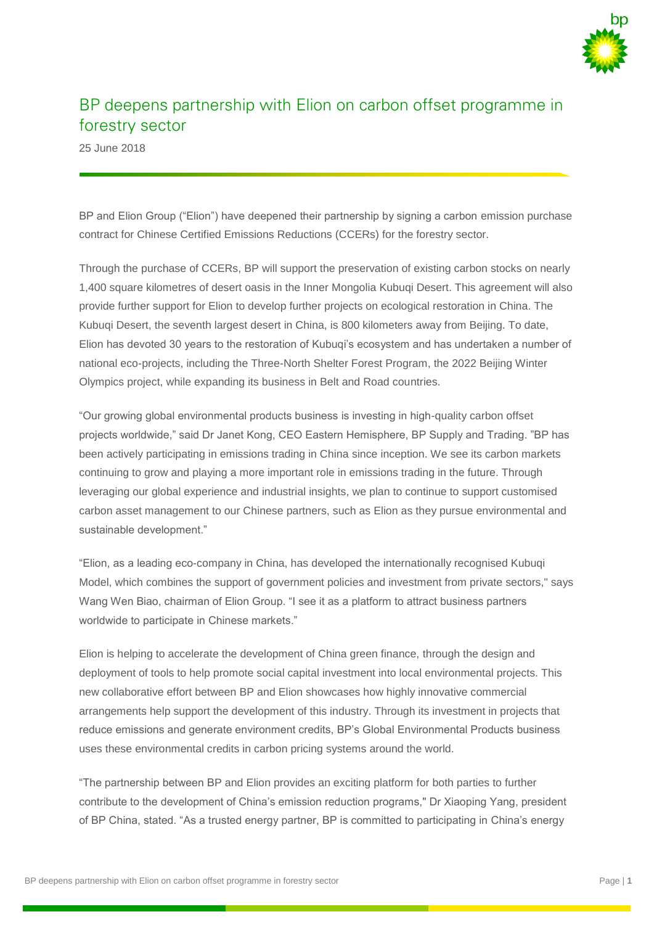

## BP deepens partnership with Elion on carbon offset programme in forestry sector

25 June 2018

BP and Elion Group ("Elion") have deepened their partnership by signing a carbon emission purchase contract for Chinese Certified Emissions Reductions (CCERs) for the forestry sector.

Through the purchase of CCERs, BP will support the preservation of existing carbon stocks on nearly 1,400 square kilometres of desert oasis in the Inner Mongolia Kubuqi Desert. This agreement will also provide further support for Elion to develop further projects on ecological restoration in China. The Kubuqi Desert, the seventh largest desert in China, is 800 kilometers away from Beijing. To date, Elion has devoted 30 years to the restoration of Kubuqi's ecosystem and has undertaken a number of national eco-projects, including the Three-North Shelter Forest Program, the 2022 Beijing Winter Olympics project, while expanding its business in Belt and Road countries.

"Our growing global environmental products business is investing in high-quality carbon offset projects worldwide," said Dr Janet Kong, CEO Eastern Hemisphere, BP Supply and Trading. "BP has been actively participating in emissions trading in China since inception. We see its carbon markets continuing to grow and playing a more important role in emissions trading in the future. Through leveraging our global experience and industrial insights, we plan to continue to support customised carbon asset management to our Chinese partners, such as Elion as they pursue environmental and sustainable development."

"Elion, as a leading eco-company in China, has developed the internationally recognised Kubuqi Model, which combines the support of government policies and investment from private sectors," says Wang Wen Biao, chairman of Elion Group. "I see it as a platform to attract business partners worldwide to participate in Chinese markets."

Elion is helping to accelerate the development of China green finance, through the design and deployment of tools to help promote social capital investment into local environmental projects. This new collaborative effort between BP and Elion showcases how highly innovative commercial arrangements help support the development of this industry. Through its investment in projects that reduce emissions and generate environment credits, BP's Global Environmental Products business uses these environmental credits in carbon pricing systems around the world.

"The partnership between BP and Elion provides an exciting platform for both parties to further contribute to the development of China's emission reduction programs," Dr Xiaoping Yang, president of BP China, stated. "As a trusted energy partner, BP is committed to participating in China's energy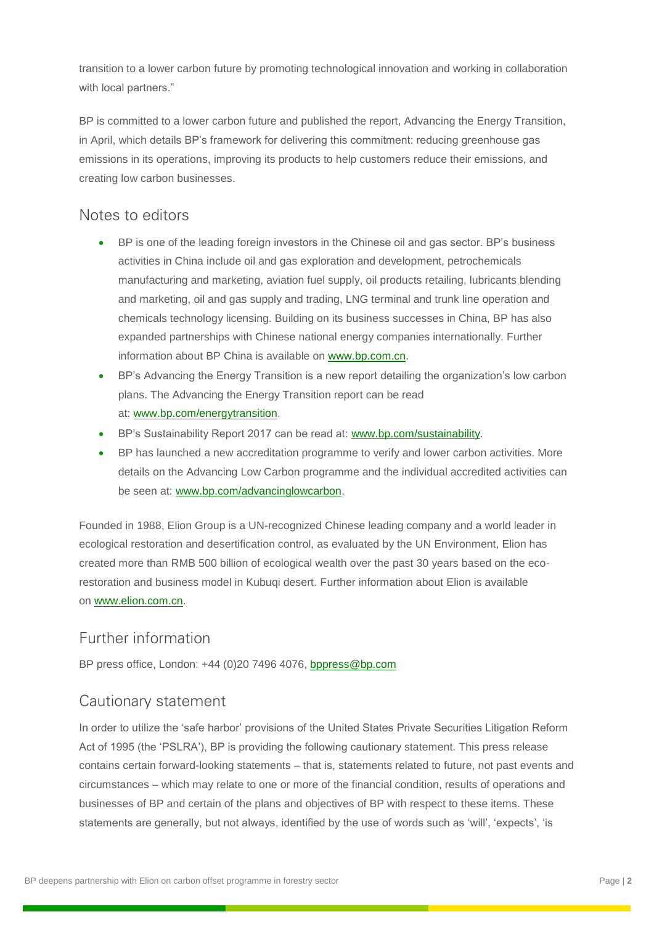transition to a lower carbon future by promoting technological innovation and working in collaboration with local partners."

BP is committed to a lower carbon future and published the report, Advancing the Energy Transition, in April, which details BP's framework for delivering this commitment: reducing greenhouse gas emissions in its operations, improving its products to help customers reduce their emissions, and creating low carbon businesses.

## Notes to editors

- BP is one of the leading foreign investors in the Chinese oil and gas sector. BP's business activities in China include oil and gas exploration and development, petrochemicals manufacturing and marketing, aviation fuel supply, oil products retailing, lubricants blending and marketing, oil and gas supply and trading, LNG terminal and trunk line operation and chemicals technology licensing. Building on its business successes in China, BP has also expanded partnerships with Chinese national energy companies internationally. Further information about BP China is available on [www.bp.com.cn.](https://www.bp.com/zh_cn/china.html)
- BP's Advancing the Energy Transition is a new report detailing the organization's low carbon plans. The Advancing the Energy Transition report can be read at: [www.bp.com/energytransition.](https://www.bp.com/energytransition)
- BP's Sustainability Report 2017 can be read at: [www.bp.com/sustainability.](https://www.bp.com/en/global/corporate/sustainability.html)
- BP has launched a new accreditation programme to verify and lower carbon activities. More details on the Advancing Low Carbon programme and the individual accredited activities can be seen at: [www.bp.com/advancinglowcarbon.](https://www.bp.com/en/global/corporate/sustainability/climate-change/low-carbon-accreditation-programme.html)

Founded in 1988, Elion Group is a UN-recognized Chinese leading company and a world leader in ecological restoration and desertification control, as evaluated by the UN Environment, Elion has created more than RMB 500 billion of ecological wealth over the past 30 years based on the ecorestoration and business model in Kubuqi desert. Further information about Elion is available on [www.elion.com.cn.](http://www.elion.com.cn/)

## Further information

BP press office, London: +44 (0)20 7496 4076, [bppress@bp.com](mailto:bppress@bp.com)

## Cautionary statement

In order to utilize the 'safe harbor' provisions of the United States Private Securities Litigation Reform Act of 1995 (the 'PSLRA'), BP is providing the following cautionary statement. This press release contains certain forward-looking statements – that is, statements related to future, not past events and circumstances – which may relate to one or more of the financial condition, results of operations and businesses of BP and certain of the plans and objectives of BP with respect to these items. These statements are generally, but not always, identified by the use of words such as 'will', 'expects', 'is